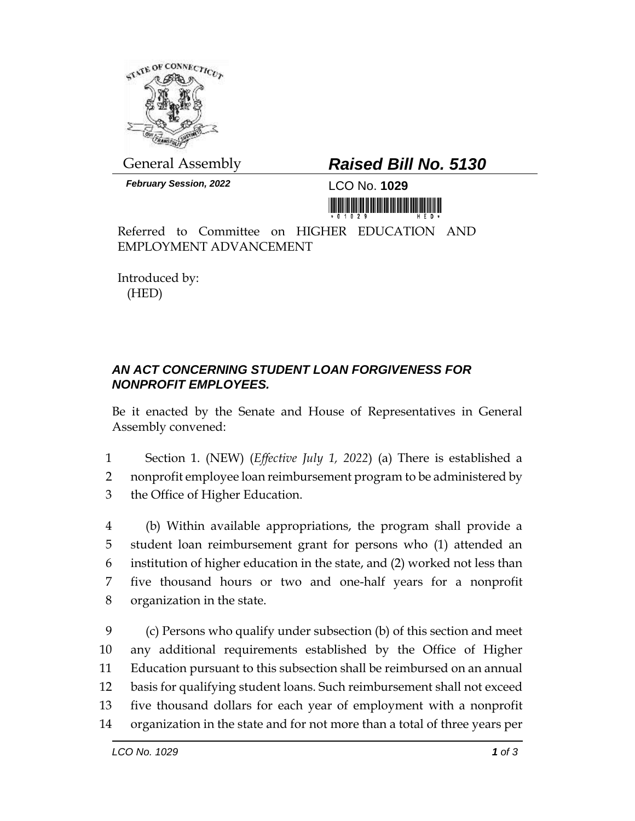

General Assembly *Raised Bill No. 5130*

*February Session, 2022* LCO No. **1029**

<u> III jiha jiha jiha ku mammu majin</u>

Referred to Committee on HIGHER EDUCATION AND EMPLOYMENT ADVANCEMENT

Introduced by: (HED)

## *AN ACT CONCERNING STUDENT LOAN FORGIVENESS FOR NONPROFIT EMPLOYEES.*

Be it enacted by the Senate and House of Representatives in General Assembly convened:

- 1 Section 1. (NEW) (*Effective July 1, 2022*) (a) There is established a 2 nonprofit employee loan reimbursement program to be administered by 3 the Office of Higher Education.
- 4 (b) Within available appropriations, the program shall provide a 5 student loan reimbursement grant for persons who (1) attended an 6 institution of higher education in the state, and (2) worked not less than 7 five thousand hours or two and one-half years for a nonprofit 8 organization in the state.
- 9 (c) Persons who qualify under subsection (b) of this section and meet 10 any additional requirements established by the Office of Higher 11 Education pursuant to this subsection shall be reimbursed on an annual 12 basis for qualifying student loans. Such reimbursement shall not exceed 13 five thousand dollars for each year of employment with a nonprofit 14 organization in the state and for not more than a total of three years per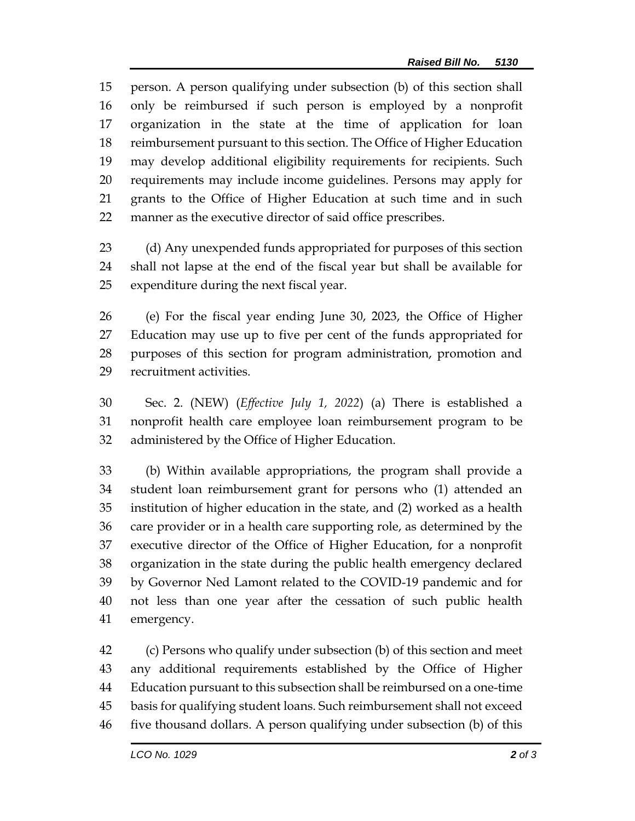person. A person qualifying under subsection (b) of this section shall only be reimbursed if such person is employed by a nonprofit organization in the state at the time of application for loan reimbursement pursuant to this section. The Office of Higher Education may develop additional eligibility requirements for recipients. Such requirements may include income guidelines. Persons may apply for grants to the Office of Higher Education at such time and in such manner as the executive director of said office prescribes.

- (d) Any unexpended funds appropriated for purposes of this section shall not lapse at the end of the fiscal year but shall be available for expenditure during the next fiscal year.
- (e) For the fiscal year ending June 30, 2023, the Office of Higher Education may use up to five per cent of the funds appropriated for purposes of this section for program administration, promotion and recruitment activities.
- Sec. 2. (NEW) (*Effective July 1, 2022*) (a) There is established a nonprofit health care employee loan reimbursement program to be administered by the Office of Higher Education.

 (b) Within available appropriations, the program shall provide a student loan reimbursement grant for persons who (1) attended an institution of higher education in the state, and (2) worked as a health care provider or in a health care supporting role, as determined by the executive director of the Office of Higher Education, for a nonprofit organization in the state during the public health emergency declared by Governor Ned Lamont related to the COVID-19 pandemic and for not less than one year after the cessation of such public health emergency.

 (c) Persons who qualify under subsection (b) of this section and meet any additional requirements established by the Office of Higher Education pursuant to this subsection shall be reimbursed on a one-time basis for qualifying student loans. Such reimbursement shall not exceed five thousand dollars. A person qualifying under subsection (b) of this